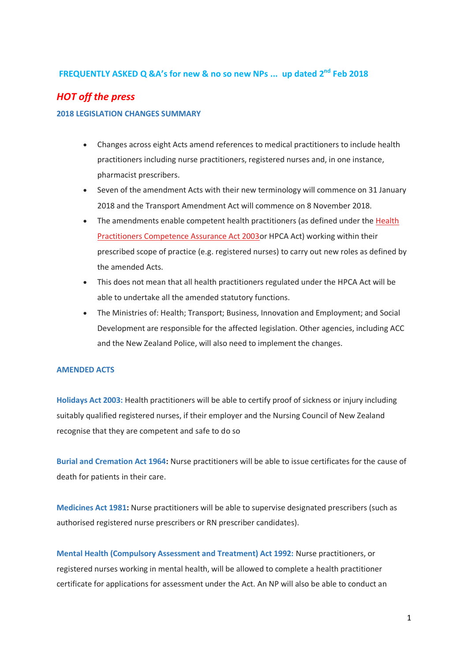# **FREQUENTLY ASKED Q &A's for new & no so new NPs ... up dated 2 nd Feb 2018**

# *HOT off the press*

### **2018 LEGISLATION CHANGES SUMMARY**

- Changes across eight Acts amend references to medical practitioners to include health practitioners including nurse practitioners, registered nurses and, in one instance, pharmacist prescribers.
- Seven of the amendment Acts with their new terminology will commence on 31 January 2018 and the Transport Amendment Act will commence on 8 November 2018.
- The amendments enable competent health practitioners (as defined under the [Health](https://www.health.govt.nz/our-work/regulation-health-and-disability-system/health-practitioners-competence-assurance-act)  [Practitioners Competence Assurance Act 2003o](https://www.health.govt.nz/our-work/regulation-health-and-disability-system/health-practitioners-competence-assurance-act)r HPCA Act) working within their prescribed scope of practice (e.g. registered nurses) to carry out new roles as defined by the amended Acts.
- This does not mean that all health practitioners regulated under the HPCA Act will be able to undertake all the amended statutory functions.
- The Ministries of: Health; Transport; Business, Innovation and Employment; and Social Development are responsible for the affected legislation. Other agencies, including ACC and the New Zealand Police, will also need to implement the changes.

### **AMENDED ACTS**

**Holidays Act 2003:** Health practitioners will be able to certify proof of sickness or injury including suitably qualified registered nurses, if their employer and the Nursing Council of New Zealand recognise that they are competent and safe to do so

**Burial and Cremation Act 1964:** Nurse practitioners will be able to issue certificates for the cause of death for patients in their care.

**Medicines Act 1981:** Nurse practitioners will be able to supervise designated prescribers (such as authorised registered nurse prescribers or RN prescriber candidates).

**Mental Health (Compulsory Assessment and Treatment) Act 1992:** Nurse practitioners, or registered nurses working in mental health, will be allowed to complete a health practitioner certificate for applications for assessment under the Act. An NP will also be able to conduct an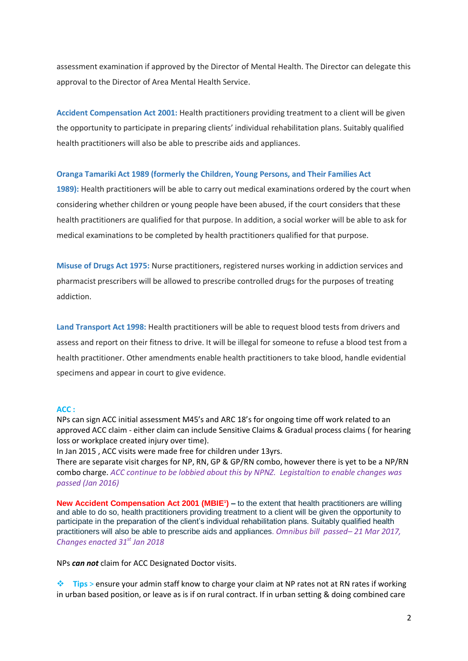assessment examination if approved by the Director of Mental Health. The Director can delegate this approval to the Director of Area Mental Health Service.

**Accident Compensation Act 2001:** Health practitioners providing treatment to a client will be given the opportunity to participate in preparing clients' individual rehabilitation plans. Suitably qualified health practitioners will also be able to prescribe aids and appliances.

### **Oranga Tamariki Act 1989 (formerly the Children, Young Persons, and Their Families Act**

**1989):** Health practitioners will be able to carry out medical examinations ordered by the court when considering whether children or young people have been abused, if the court considers that these health practitioners are qualified for that purpose. In addition, a social worker will be able to ask for medical examinations to be completed by health practitioners qualified for that purpose.

**Misuse of Drugs Act 1975:** Nurse practitioners, registered nurses working in addiction services and pharmacist prescribers will be allowed to prescribe controlled drugs for the purposes of treating addiction.

**Land Transport Act 1998:** Health practitioners will be able to request blood tests from drivers and assess and report on their fitness to drive. It will be illegal for someone to refuse a blood test from a health practitioner. Other amendments enable health practitioners to take blood, handle evidential specimens and appear in court to give evidence.

### **ACC :**

NPs can sign ACC initial assessment M45's and ARC 18's for ongoing time off work related to an approved ACC claim - either claim can include Sensitive Claims & Gradual process claims ( for hearing loss or workplace created injury over time).

In Jan 2015 , ACC visits were made free for children under 13yrs.

There are separate visit charges for NP, RN, GP & GP/RN combo, however there is yet to be a NP/RN combo charge. *ACC continue to be lobbied about this by NPNZ. Legistaltion to enable changes was passed (Jan 2016)* 

**New Accident Compensation Act 2001 (MBIE<sup>1</sup> [\)](http://www.health.govt.nz/about-ministry/legislation-and-regulation/changes-health-practitioner-status##1) –** to the extent that health practitioners are willing and able to do so, health practitioners providing treatment to a client will be given the opportunity to participate in the preparation of the client's individual rehabilitation plans. Suitably qualified health practitioners will also be able to prescribe aids and appliances. *Omnibus bill passed– 21 Mar 2017, Changes enacted 31st Jan 2018*

NPs *can not* claim for ACC Designated Doctor visits.

**Tips** > ensure your admin staff know to charge your claim at NP rates not at RN rates if working in urban based position, or leave as is if on rural contract. If in urban setting & doing combined care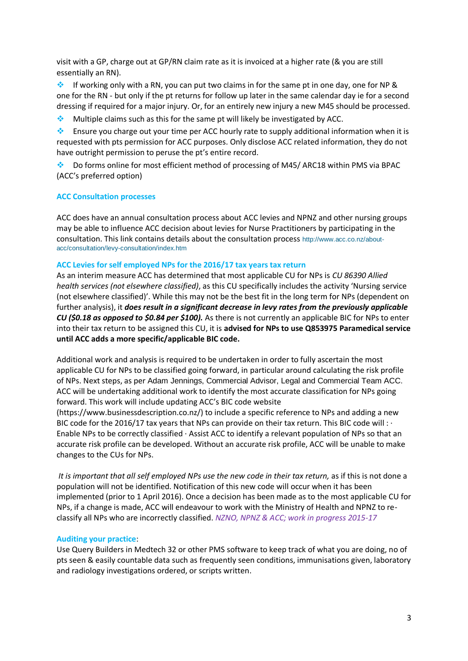visit with a GP, charge out at GP/RN claim rate as it is invoiced at a higher rate (& you are still essentially an RN).

If working only with a RN, you can put two claims in for the same pt in one day, one for NP & one for the RN - but only if the pt returns for follow up later in the same calendar day ie for a second dressing if required for a major injury. Or, for an entirely new injury a new M45 should be processed.

**Multiple claims such as this for the same pt will likely be investigated by ACC.** 

Ensure you charge out your time per ACC hourly rate to supply additional information when it is requested with pts permission for ACC purposes. Only disclose ACC related information, they do not have outright permission to peruse the pt's entire record.

Do forms online for most efficient method of processing of M45/ ARC18 within PMS via BPAC (ACC's preferred option)

### **ACC Consultation processes**

ACC does have an annual consultation process about ACC levies and NPNZ and other nursing groups may be able to influence ACC decision about levies for Nurse Practitioners by participating in the consultation. This link contains details about the consultation process [http://www.acc.co.nz/about](http://www.acc.co.nz/about-acc/consultation/levy-consultation/index.htm)[acc/consultation/levy-consultation/index.htm](http://www.acc.co.nz/about-acc/consultation/levy-consultation/index.htm)

### **ACC Levies for self employed NPs for the 2016/17 tax years tax return**

As an interim measure ACC has determined that most applicable CU for NPs is *CU 86390 Allied health services (not elsewhere classified)*, as this CU specifically includes the activity 'Nursing service (not elsewhere classified)'. While this may not be the best fit in the long term for NPs (dependent on further analysis), it *does result in a significant decrease in levy rates from the previously applicable CU (\$0.18 as opposed to \$0.84 per \$100).* As there is not currently an applicable BIC for NPs to enter into their tax return to be assigned this CU, it is **advised for NPs to use Q853975 Paramedical service until ACC adds a more specific/applicable BIC code.** 

Additional work and analysis is required to be undertaken in order to fully ascertain the most applicable CU for NPs to be classified going forward, in particular around calculating the risk profile of NPs. Next steps, as per Adam Jennings, Commercial Advisor, Legal and Commercial Team ACC. ACC will be undertaking additional work to identify the most accurate classification for NPs going forward. This work will include updating ACC's BIC code website

(https://www.businessdescription.co.nz/) to include a specific reference to NPs and adding a new BIC code for the 2016/17 tax years that NPs can provide on their tax return. This BIC code will : · Enable NPs to be correctly classified · Assist ACC to identify a relevant population of NPs so that an accurate risk profile can be developed. Without an accurate risk profile, ACC will be unable to make changes to the CUs for NPs.

*It is important that all self employed NPs use the new code in their tax return,* as if this is not done a population will not be identified. Notification of this new code will occur when it has been implemented (prior to 1 April 2016). Once a decision has been made as to the most applicable CU for NPs, if a change is made, ACC will endeavour to work with the Ministry of Health and NPNZ to reclassify all NPs who are incorrectly classified. *NZNO, NPNZ & ACC; work in progress 2015-17*

### **Auditing your practice**:

Use Query Builders in Medtech 32 or other PMS software to keep track of what you are doing, no of pts seen & easily countable data such as frequently seen conditions, immunisations given, laboratory and radiology investigations ordered, or scripts written.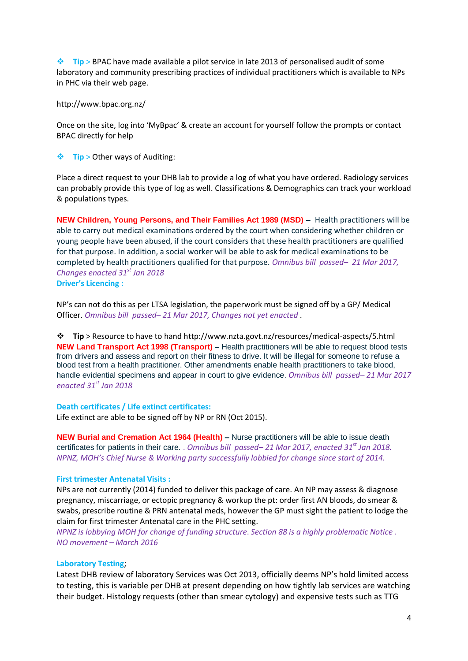**Tip** > BPAC have made available a pilot service in late 2013 of personalised audit of some laboratory and community prescribing practices of individual practitioners which is available to NPs in PHC via their web page.

http://www.bpac.org.nz/

Once on the site, log into 'MyBpac' & create an account for yourself follow the prompts or contact BPAC directly for help

**Tip** > Other ways of Auditing:

Place a direct request to your DHB lab to provide a log of what you have ordered. Radiology services can probably provide this type of log as well. Classifications & Demographics can track your workload & populations types.

**NEW Children, Young Persons, and Their Families Act 1989 (MSD) –** Health practitioners will be able to carry out medical examinations ordered by the court when considering whether children or young people have been abused, if the court considers that these health practitioners are qualified for that purpose. In addition, a social worker will be able to ask for medical examinations to be completed by health practitioners qualified for that purpose. *Omnibus bill passed– 21 Mar 2017, Changes enacted 31st Jan 2018* **Driver's Licencing :**

NP's can not do this as per LTSA legislation, the paperwork must be signed off by a GP/ Medical Officer. *Omnibus bill passed– 21 Mar 2017, Changes not yet enacted .* 

**Tip** > Resource to have to hand http://www.nzta.govt.nz/resources/medical-aspects/5.html **NEW Land Transport Act 1998 (Transport) –** Health practitioners will be able to request blood tests from drivers and assess and report on their fitness to drive. It will be illegal for someone to refuse a blood test from a health practitioner. Other amendments enable health practitioners to take blood, handle evidential specimens and appear in court to give evidence. *Omnibus bill passed– 21 Mar 2017 enacted 31st Jan 2018*

### **Death certificates / Life extinct certificates:**

Life extinct are able to be signed off by NP or RN (Oct 2015).

**NEW Burial and Cremation Act 1964 (Health) –** Nurse practitioners will be able to issue death certificates for patients in their care. . *Omnibus bill passed– 21 Mar 2017, enacted 31st Jan 2018. NPNZ, MOH's Chief Nurse & Working party successfully lobbied for change since start of 2014.* 

### **First trimester Antenatal Visits :**

NPs are not currently (2014) funded to deliver this package of care. An NP may assess & diagnose pregnancy, miscarriage, or ectopic pregnancy & workup the pt: order first AN bloods, do smear & swabs, prescribe routine & PRN antenatal meds, however the GP must sight the patient to lodge the claim for first trimester Antenatal care in the PHC setting.

*NPNZ is lobbying MOH for change of funding structure*. *Section 88 is a highly problematic Notice . NO movement – March 2016* 

### **Laboratory Testing**;

Latest DHB review of laboratory Services was Oct 2013, officially deems NP's hold limited access to testing, this is variable per DHB at present depending on how tightly lab services are watching their budget. Histology requests (other than smear cytology) and expensive tests such as TTG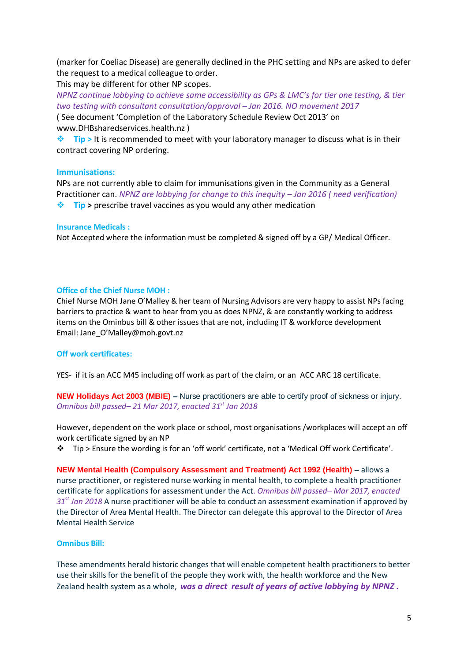(marker for Coeliac Disease) are generally declined in the PHC setting and NPs are asked to defer the request to a medical colleague to order.

This may be different for other NP scopes.

*NPNZ continue lobbying to achieve same accessibility as GPs & LMC's for tier one testing, & tier two testing with consultant consultation/approval – Jan 2016. NO movement 2017*

( See document 'Completion of the Laboratory Schedule Review Oct 2013' on www.DHBsharedservices.health.nz )

 $\cdot$  **Tip** > It is recommended to meet with your laboratory manager to discuss what is in their contract covering NP ordering.

# **Immunisations:**

NPs are not currently able to claim for immunisations given in the Community as a General Practitioner can. *NPNZ are lobbying for change to this inequity – Jan 2016 ( need verification)*

**Tip >** prescribe travel vaccines as you would any other medication

# **Insurance Medicals :**

Not Accepted where the information must be completed & signed off by a GP/ Medical Officer.

# **Office of the Chief Nurse MOH :**

Chief Nurse MOH Jane O'Malley & her team of Nursing Advisors are very happy to assist NPs facing barriers to practice & want to hear from you as does NPNZ, & are constantly working to address items on the Ominbus bill & other issues that are not, including IT & workforce development Email: Jane\_O'Malley@moh.govt.nz

# **Off work certificates:**

YES- if it is an ACC M45 including off work as part of the claim, or an ACC ARC 18 certificate.

**NEW Holidays Act 2003 (MBIE) –** Nurse practitioners are able to certify proof of sickness or injury. *Omnibus bill passed– 21 Mar 2017, enacted 31st Jan 2018*

However, dependent on the work place or school, most organisations /workplaces will accept an off work certificate signed by an NP

 $\div$  Tip > Ensure the wording is for an 'off work' certificate, not a 'Medical Off work Certificate'.

**NEW Mental Health (Compulsory Assessment and Treatment) Act 1992 (Health) –** allows a nurse practitioner, or registered nurse working in mental health, to complete a health practitioner certificate for applications for assessment under the Act. *Omnibus bill passed– Mar 2017, enacted 31st Jan 2018* A nurse practitioner will be able to conduct an assessment examination if approved by the Director of Area Mental Health. The Director can delegate this approval to the Director of Area Mental Health Service

# **Omnibus Bill:**

These amendments herald historic changes that will enable competent health practitioners to better use their skills for the benefit of the people they work with, the health workforce and the New Zealand health system as a whole, *was a direct result of years of active lobbying by NPNZ .*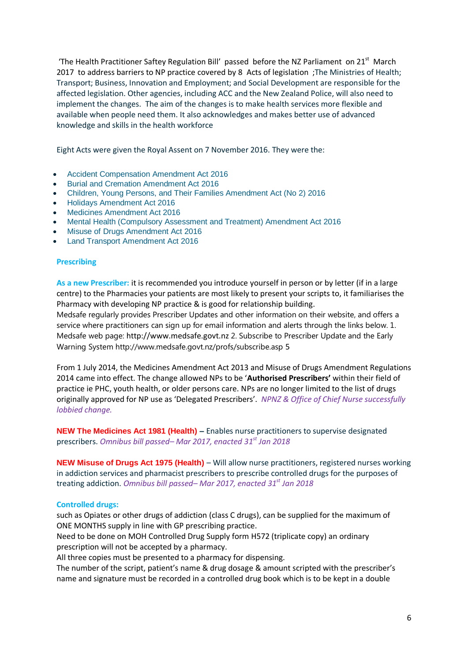'The Health Practitioner Saftey Regulation Bill' passed before the NZ Parliament on  $21^{st}$  March 2017 to address barriers to NP practice covered by 8 Acts of legislation ;The Ministries of Health; Transport; Business, Innovation and Employment; and Social Development are responsible for the affected legislation. Other agencies, including ACC and the New Zealand Police, will also need to implement the changes. The aim of the changes is to make health services more flexible and available when people need them. It also acknowledges and makes better use of advanced knowledge and skills in the health workforce

Eight Acts were given the Royal Assent on 7 November 2016. They were the:

- [Accident Compensation Amendment Act 2016](http://www.legislation.govt.nz/act/public/2016/0073/latest/DLM6514118.html?search=ts_act%40bill%40regulation%40deemedreg_amendment+act+_resel_25_a&p=1)
- [Burial and Cremation Amendment Act 2016](http://www.legislation.govt.nz/act/public/2016/0074/latest/DLM6983801.html?search=ad_act___2016___25_ac%40bn%40rn%40dn%40apub%40aloc%40apri%40apro%40aimp%40bgov%40bloc%40bpri%40bmem%40rpub%40rimp_ac%40ainf%40anif%40bcur%40rinf%40rnif_a_aw_se&p=1)
- [Children, Young Persons, and Their Families Amendment Act \(No 2\) 2016](http://www.legislation.govt.nz/act/public/2016/0075/latest/DLM6983901.html?search=ad_act___2016___25_ac%40bn%40rn%40dn%40apub%40aloc%40apri%40apro%40aimp%40bgov%40bloc%40bpri%40bmem%40rpub%40rimp_ac%40ainf%40anif%40bcur%40rinf%40rnif_a_aw_se&p=1)
- [Holidays Amendment Act 2016](http://www.legislation.govt.nz/act/public/2016/0076/latest/DLM6984001.html?search=y_act_2016__ac%40ainf%40anif%40aaif_ac%40bn%40rn_25_a&p=2)
- [Medicines Amendment Act 2016](http://www.legislation.govt.nz/act/public/2016/0077/latest/DLM6984101.html?search=y_act_2016__ac%40ainf%40anif%40aaif_ac%40bn%40rn_25_a&p=3)
- [Mental Health \(Compulsory Assessment and Treatment\) Amendment Act 2016](http://www.legislation.govt.nz/act/public/2016/0079/latest/DLM6984329.html?search=y_act_2016__ac%40ainf%40anif%40aaif_ac%40bn%40rn_25_a&p=3)
- [Misuse of Drugs Amendment Act 2016](http://www.legislation.govt.nz/act/public/2016/0080/latest/DLM6984401.html?search=y_act_2016__ac%40ainf%40anif%40aaif_ac%40bn%40rn_25_a&p=3)
- [Land Transport Amendment Act 2016](http://www.legislation.govt.nz/act/public/2016/0077/latest/DLM6984101.html)

### **Prescribing**

**As a new Prescriber:** it is recommended you introduce yourself in person or by letter (if in a large centre) to the Pharmacies your patients are most likely to present your scripts to, it familiarises the Pharmacy with developing NP practice & is good for relationship building. Medsafe regularly provides Prescriber Updates and other information on their website, and offers a service where practitioners can sign up for email information and alerts through the links below. 1. Medsafe web page: http://www.medsafe.govt.nz 2. Subscribe to Prescriber Update and the Early Warning System http://www.medsafe.govt.nz/profs/subscribe.asp 5

From 1 July 2014, the Medicines Amendment Act 2013 and Misuse of Drugs Amendment Regulations 2014 came into effect. The change allowed NPs to be '**Authorised Prescribers'** within their field of practice ie PHC, youth health, or older persons care. NPs are no longer limited to the list of drugs originally approved for NP use as 'Delegated Prescribers'. *NPNZ & Office of Chief Nurse successfully lobbied change.*

**NEW The Medicines Act 1981 (Health) –** Enables nurse practitioners to supervise designated prescribers. *Omnibus bill passed– Mar 2017, enacted 31st Jan 2018*

**NEW Misuse of Drugs Act 1975 (Health)** – Will allow nurse practitioners, registered nurses working in addiction services and pharmacist prescribers to prescribe controlled drugs for the purposes of treating addiction. *Omnibus bill passed– Mar 2017, enacted 31st Jan 2018*

### **Controlled drugs:**

such as Opiates or other drugs of addiction (class C drugs), can be supplied for the maximum of ONE MONTHS supply in line with GP prescribing practice.

Need to be done on MOH Controlled Drug Supply form H572 (triplicate copy) an ordinary prescription will not be accepted by a pharmacy.

All three copies must be presented to a pharmacy for dispensing.

The number of the script, patient's name & drug dosage & amount scripted with the prescriber's name and signature must be recorded in a controlled drug book which is to be kept in a double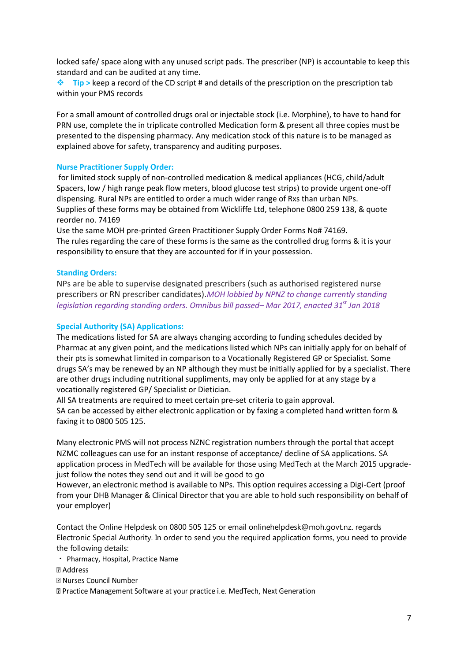locked safe/ space along with any unused script pads. The prescriber (NP) is accountable to keep this standard and can be audited at any time.

**Tip >** keep a record of the CD script # and details of the prescription on the prescription tab within your PMS records

For a small amount of controlled drugs oral or injectable stock (i.e. Morphine), to have to hand for PRN use, complete the in triplicate controlled Medication form & present all three copies must be presented to the dispensing pharmacy. Any medication stock of this nature is to be managed as explained above for safety, transparency and auditing purposes.

### **Nurse Practitioner Supply Order:**

for limited stock supply of non-controlled medication & medical appliances (HCG, child/adult Spacers, low / high range peak flow meters, blood glucose test strips) to provide urgent one-off dispensing. Rural NPs are entitled to order a much wider range of Rxs than urban NPs. Supplies of these forms may be obtained from Wickliffe Ltd, telephone 0800 259 138, & quote reorder no. 74169

Use the same MOH pre-printed Green Practitioner Supply Order Forms No# 74169. The rules regarding the care of these forms is the same as the controlled drug forms & it is your responsibility to ensure that they are accounted for if in your possession.

### **Standing Orders:**

NPs are be able to supervise designated prescribers (such as authorised registered nurse prescribers or RN prescriber candidates).*MOH lobbied by NPNZ to change currently standing legislation regarding standing orders. Omnibus bill passed– Mar 2017, enacted 31st Jan 2018*

### **Special Authority (SA) Applications:**

The medications listed for SA are always changing according to funding schedules decided by Pharmac at any given point, and the medications listed which NPs can initially apply for on behalf of their pts is somewhat limited in comparison to a Vocationally Registered GP or Specialist. Some drugs SA's may be renewed by an NP although they must be initially applied for by a specialist. There are other drugs including nutritional suppliments, may only be applied for at any stage by a vocationally registered GP/ Specialist or Dietician.

All SA treatments are required to meet certain pre-set criteria to gain approval. SA can be accessed by either electronic application or by faxing a completed hand written form & faxing it to 0800 505 125.

Many electronic PMS will not process NZNC registration numbers through the portal that accept NZMC colleagues can use for an instant response of acceptance/ decline of SA applications. SA application process in MedTech will be available for those using MedTech at the March 2015 upgradejust follow the notes they send out and it will be good to go

However, an electronic method is available to NPs. This option requires accessing a Digi-Cert (proof from your DHB Manager & Clinical Director that you are able to hold such responsibility on behalf of your employer)

Contact the Online Helpdesk on 0800 505 125 or email onlinehelpdesk@moh.govt.nz. regards Electronic Special Authority. In order to send you the required application forms, you need to provide the following details:

- Pharmacy, Hospital, Practice Name
- **2 Address**
- **图 Nurses Council Number**

Z Practice Management Software at your practice i.e. MedTech, Next Generation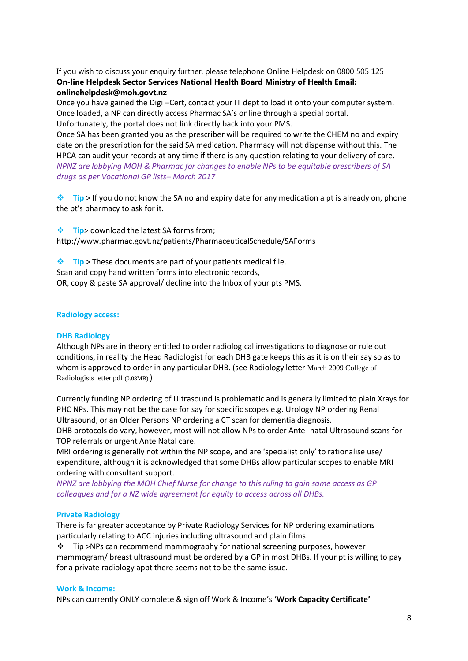If you wish to discuss your enquiry further, please telephone Online Helpdesk on 0800 505 125 **On-line Helpdesk Sector Services National Health Board Ministry of Health Email: onlinehelpdesk@moh.govt.nz** 

Once you have gained the Digi –Cert, contact your IT dept to load it onto your computer system. Once loaded, a NP can directly access Pharmac SA's online through a special portal. Unfortunately, the portal does not link directly back into your PMS.

Once SA has been granted you as the prescriber will be required to write the CHEM no and expiry date on the prescription for the said SA medication. Pharmacy will not dispense without this. The HPCA can audit your records at any time if there is any question relating to your delivery of care. *NPNZ are lobbying MOH & Pharmac for changes to enable NPs to be equitable prescribers of SA drugs as per Vocational GP lists– March 2017*

**<sup>◆</sup> Tip** > If you do not know the SA no and expiry date for any medication a pt is already on, phone the pt's pharmacy to ask for it.

 **Tip**> download the latest SA forms from; http://www.pharmac.govt.nz/patients/PharmaceuticalSchedule/SAForms

**Tip** > These documents are part of your patients medical file. Scan and copy hand written forms into electronic records, OR, copy & paste SA approval/ decline into the Inbox of your pts PMS.

### **Radiology access:**

### **DHB Radiology**

Although NPs are in theory entitled to order radiological investigations to diagnose or rule out conditions, in reality the Head Radiologist for each DHB gate keeps this as it is on their say so as to whom is approved to order in any particular DHB. (see Radiology letter March 2009 College of Radiologists letter.pdf (0.08MB) )

Currently funding NP ordering of Ultrasound is problematic and is generally limited to plain Xrays for PHC NPs. This may not be the case for say for specific scopes e.g. Urology NP ordering Renal Ultrasound, or an Older Persons NP ordering a CT scan for dementia diagnosis.

DHB protocols do vary, however, most will not allow NPs to order Ante- natal Ultrasound scans for TOP referrals or urgent Ante Natal care.

MRI ordering is generally not within the NP scope, and are 'specialist only' to rationalise use/ expenditure, although it is acknowledged that some DHBs allow particular scopes to enable MRI ordering with consultant support.

*NPNZ are lobbying the MOH Chief Nurse for change to this ruling to gain same access as GP colleagues and for a NZ wide agreement for equity to access across all DHBs.* 

### **Private Radiology**

There is far greater acceptance by Private Radiology Services for NP ordering examinations particularly relating to ACC injuries including ultrasound and plain films.

 $\div$  Tip >NPs can recommend mammography for national screening purposes, however mammogram/ breast ultrasound must be ordered by a GP in most DHBs. If your pt is willing to pay for a private radiology appt there seems not to be the same issue.

### **Work & Income:**

NPs can currently ONLY complete & sign off Work & Income's **'Work Capacity Certificate'**